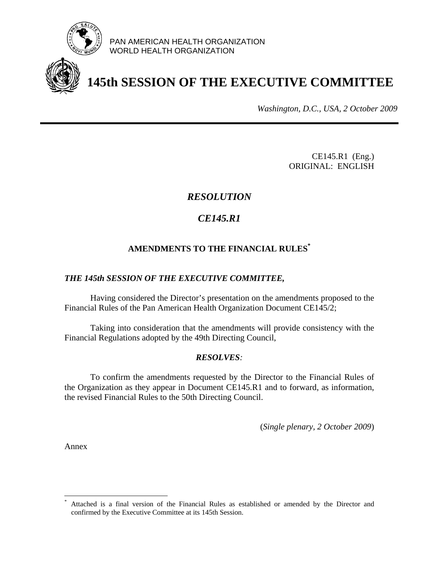

PAN AMERICAN HEALTH ORGANIZATION WORLD HEALTH ORGANIZATION

# **145th SESSION OF THE EXECUTIVE COMMITTEE**

*Washington, D.C., USA, 2 October 2009*

CE145.R1 (Eng.) ORIGINAL: ENGLISH

# *RESOLUTION*

# *CE145.R1*

# **AMENDMENTS TO THE FINANCIAL RULES\***

# *THE 145th SESSION OF THE EXECUTIVE COMMITTEE,*

 Having considered the Director's presentation on the amendments proposed to the Financial Rules of the Pan American Health Organization Document CE145/2;

 Taking into consideration that the amendments will provide consistency with the Financial Regulations adopted by the 49th Directing Council,

# *RESOLVES:*

 To confirm the amendments requested by the Director to the Financial Rules of the Organization as they appear in Document CE145.R1 and to forward, as information, the revised Financial Rules to the 50th Directing Council.

(*Single plenary, 2 October 2009*)

Annex

 $\overline{a}$ 

<sup>\*</sup> Attached is a final version of the Financial Rules as established or amended by the Director and confirmed by the Executive Committee at its 145th Session.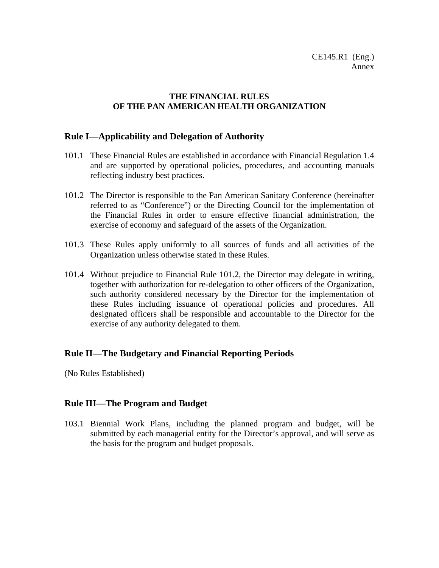# **THE FINANCIAL RULES OF THE PAN AMERICAN HEALTH ORGANIZATION**

# **Rule I—Applicability and Delegation of Authority**

- 101.1 These Financial Rules are established in accordance with Financial Regulation 1.4 and are supported by operational policies, procedures, and accounting manuals reflecting industry best practices.
- 101.2 The Director is responsible to the Pan American Sanitary Conference (hereinafter referred to as "Conference") or the Directing Council for the implementation of the Financial Rules in order to ensure effective financial administration, the exercise of economy and safeguard of the assets of the Organization.
- 101.3 These Rules apply uniformly to all sources of funds and all activities of the Organization unless otherwise stated in these Rules.
- 101.4 Without prejudice to Financial Rule 101.2, the Director may delegate in writing, together with authorization for re-delegation to other officers of the Organization, such authority considered necessary by the Director for the implementation of these Rules including issuance of operational policies and procedures. All designated officers shall be responsible and accountable to the Director for the exercise of any authority delegated to them.

# **Rule II—The Budgetary and Financial Reporting Periods**

(No Rules Established)

# **Rule III—The Program and Budget**

103.1 Biennial Work Plans, including the planned program and budget, will be submitted by each managerial entity for the Director's approval, and will serve as the basis for the program and budget proposals.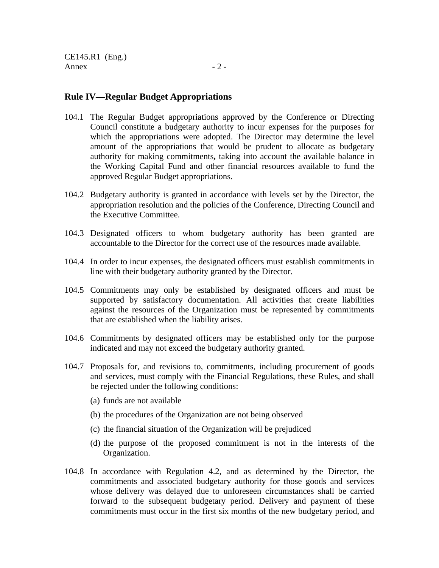CE145.R1 (Eng.) Annex  $-2$  -

- 104.1 The Regular Budget appropriations approved by the Conference or Directing Council constitute a budgetary authority to incur expenses for the purposes for which the appropriations were adopted. The Director may determine the level amount of the appropriations that would be prudent to allocate as budgetary authority for making commitments**,** taking into account the available balance in the Working Capital Fund and other financial resources available to fund the approved Regular Budget appropriations.
- 104.2 Budgetary authority is granted in accordance with levels set by the Director, the appropriation resolution and the policies of the Conference, Directing Council and the Executive Committee.
- 104.3 Designated officers to whom budgetary authority has been granted are accountable to the Director for the correct use of the resources made available.
- 104.4 In order to incur expenses, the designated officers must establish commitments in line with their budgetary authority granted by the Director.
- 104.5 Commitments may only be established by designated officers and must be supported by satisfactory documentation. All activities that create liabilities against the resources of the Organization must be represented by commitments that are established when the liability arises.
- 104.6 Commitments by designated officers may be established only for the purpose indicated and may not exceed the budgetary authority granted.
- 104.7 Proposals for, and revisions to, commitments, including procurement of goods and services, must comply with the Financial Regulations, these Rules, and shall be rejected under the following conditions:
	- (a) funds are not available
	- (b) the procedures of the Organization are not being observed
	- (c) the financial situation of the Organization will be prejudiced
	- (d) the purpose of the proposed commitment is not in the interests of the Organization.
- 104.8 In accordance with Regulation 4.2, and as determined by the Director, the commitments and associated budgetary authority for those goods and services whose delivery was delayed due to unforeseen circumstances shall be carried forward to the subsequent budgetary period. Delivery and payment of these commitments must occur in the first six months of the new budgetary period, and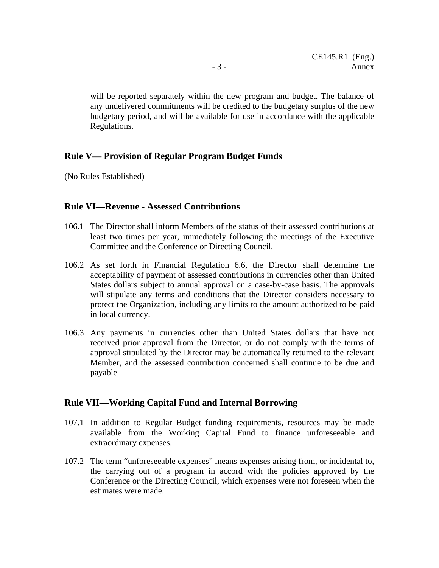will be reported separately within the new program and budget. The balance of any undelivered commitments will be credited to the budgetary surplus of the new budgetary period, and will be available for use in accordance with the applicable Regulations.

### **Rule V— Provision of Regular Program Budget Funds**

(No Rules Established)

### **Rule VI—Revenue - Assessed Contributions**

- 106.1 The Director shall inform Members of the status of their assessed contributions at least two times per year, immediately following the meetings of the Executive Committee and the Conference or Directing Council.
- 106.2 As set forth in Financial Regulation 6.6, the Director shall determine the acceptability of payment of assessed contributions in currencies other than United States dollars subject to annual approval on a case-by-case basis. The approvals will stipulate any terms and conditions that the Director considers necessary to protect the Organization, including any limits to the amount authorized to be paid in local currency.
- 106.3 Any payments in currencies other than United States dollars that have not received prior approval from the Director, or do not comply with the terms of approval stipulated by the Director may be automatically returned to the relevant Member, and the assessed contribution concerned shall continue to be due and payable.

#### **Rule VII—Working Capital Fund and Internal Borrowing**

- 107.1 In addition to Regular Budget funding requirements, resources may be made available from the Working Capital Fund to finance unforeseeable and extraordinary expenses.
- 107.2 The term "unforeseeable expenses" means expenses arising from, or incidental to, the carrying out of a program in accord with the policies approved by the Conference or the Directing Council, which expenses were not foreseen when the estimates were made.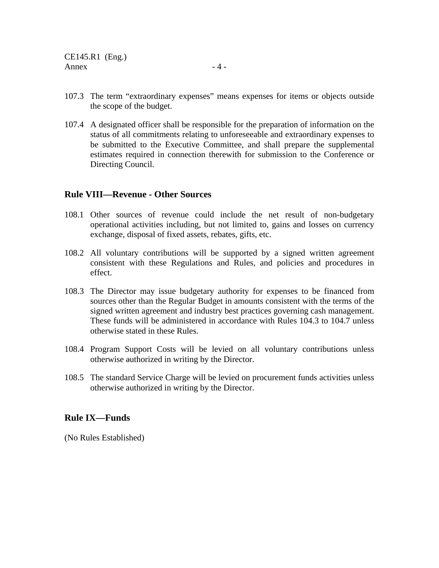107.4 A designated officer shall be responsible for the preparation of information on the status of all commitments relating to unforeseeable and extraordinary expenses to be submitted to the Executive Committee, and shall prepare the supplemental estimates required in connection therewith for submission to the Conference or Directing Council.

# **Rule VIII—Revenue - Other Sources**

- 108.1 Other sources of revenue could include the net result of non-budgetary operational activities including, but not limited to, gains and losses on currency exchange, disposal of fixed assets, rebates, gifts, etc.
- 108.2 All voluntary contributions will be supported by a signed written agreement consistent with these Regulations and Rules, and policies and procedures in effect.
- 108.3 The Director may issue budgetary authority for expenses to be financed from sources other than the Regular Budget in amounts consistent with the terms of the signed written agreement and industry best practices governing cash management. These funds will be administered in accordance with Rules 104.3 to 104.7 unless otherwise stated in these Rules.
- 108.4 Program Support Costs will be levied on all voluntary contributions unless otherwise authorized in writing by the Director.
- 108.5 The standard Service Charge will be levied on procurement funds activities unless otherwise authorized in writing by the Director.

# **Rule IX—Funds**

(No Rules Established)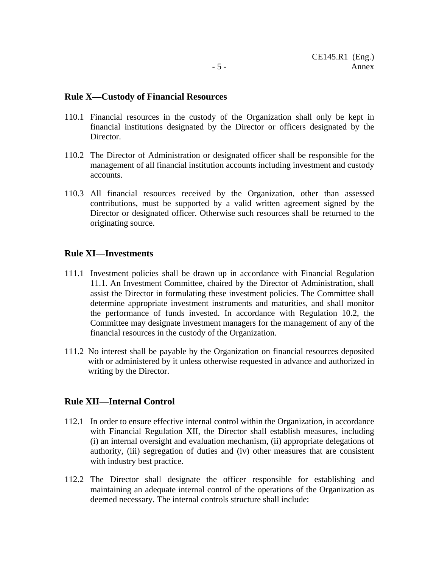#### **Rule X—Custody of Financial Resources**

- 110.1 Financial resources in the custody of the Organization shall only be kept in financial institutions designated by the Director or officers designated by the Director.
- 110.2 The Director of Administration or designated officer shall be responsible for the management of all financial institution accounts including investment and custody accounts.
- 110.3 All financial resources received by the Organization, other than assessed contributions, must be supported by a valid written agreement signed by the Director or designated officer. Otherwise such resources shall be returned to the originating source.

#### **Rule XI—Investments**

- 111.1 Investment policies shall be drawn up in accordance with Financial Regulation 11.1. An Investment Committee, chaired by the Director of Administration, shall assist the Director in formulating these investment policies. The Committee shall determine appropriate investment instruments and maturities, and shall monitor the performance of funds invested. In accordance with Regulation 10.2, the Committee may designate investment managers for the management of any of the financial resources in the custody of the Organization.
- 111.2 No interest shall be payable by the Organization on financial resources deposited with or administered by it unless otherwise requested in advance and authorized in writing by the Director.

#### **Rule XII—Internal Control**

- 112.1 In order to ensure effective internal control within the Organization, in accordance with Financial Regulation XII, the Director shall establish measures, including (i) an internal oversight and evaluation mechanism, (ii) appropriate delegations of authority, (iii) segregation of duties and (iv) other measures that are consistent with industry best practice.
- 112.2 The Director shall designate the officer responsible for establishing and maintaining an adequate internal control of the operations of the Organization as deemed necessary. The internal controls structure shall include: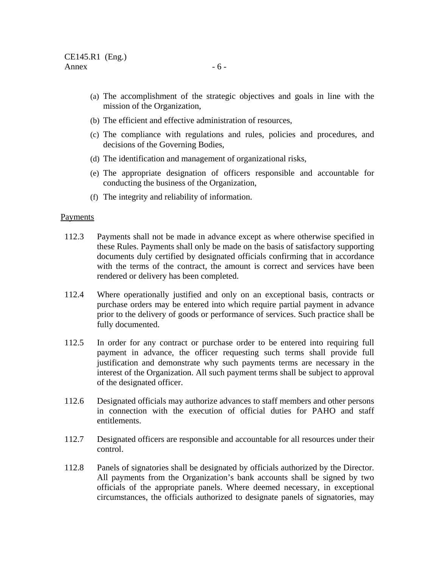- (a) The accomplishment of the strategic objectives and goals in line with the mission of the Organization,
- (b) The efficient and effective administration of resources,
- (c) The compliance with regulations and rules, policies and procedures, and decisions of the Governing Bodies,
- (d) The identification and management of organizational risks,
- (e) The appropriate designation of officers responsible and accountable for conducting the business of the Organization,
- (f) The integrity and reliability of information.

#### Payments

- 112.3 Payments shall not be made in advance except as where otherwise specified in these Rules. Payments shall only be made on the basis of satisfactory supporting documents duly certified by designated officials confirming that in accordance with the terms of the contract, the amount is correct and services have been rendered or delivery has been completed.
- 112.4 Where operationally justified and only on an exceptional basis, contracts or purchase orders may be entered into which require partial payment in advance prior to the delivery of goods or performance of services. Such practice shall be fully documented.
- 112.5 In order for any contract or purchase order to be entered into requiring full payment in advance, the officer requesting such terms shall provide full justification and demonstrate why such payments terms are necessary in the interest of the Organization. All such payment terms shall be subject to approval of the designated officer.
- 112.6 Designated officials may authorize advances to staff members and other persons in connection with the execution of official duties for PAHO and staff entitlements.
- 112.7Designated officers are responsible and accountable for all resources under their control.
- 112.8 Panels of signatories shall be designated by officials authorized by the Director. All payments from the Organization's bank accounts shall be signed by two officials of the appropriate panels. Where deemed necessary, in exceptional circumstances, the officials authorized to designate panels of signatories, may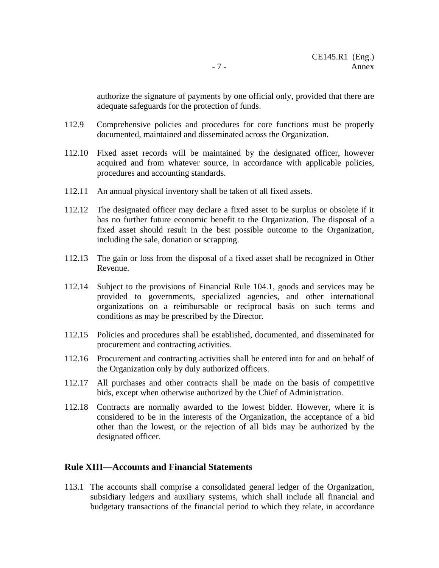authorize the signature of payments by one official only, provided that there are adequate safeguards for the protection of funds.

- 112.9 Comprehensive policies and procedures for core functions must be properly documented, maintained and disseminated across the Organization.
- 112.10 Fixed asset records will be maintained by the designated officer, however acquired and from whatever source, in accordance with applicable policies, procedures and accounting standards.
- 112.11 An annual physical inventory shall be taken of all fixed assets.
- 112.12 The designated officer may declare a fixed asset to be surplus or obsolete if it has no further future economic benefit to the Organization. The disposal of a fixed asset should result in the best possible outcome to the Organization, including the sale, donation or scrapping.
- 112.13 The gain or loss from the disposal of a fixed asset shall be recognized in Other Revenue.
- 112.14 Subject to the provisions of Financial Rule 104.1, goods and services may be provided to governments, specialized agencies, and other international organizations on a reimbursable or reciprocal basis on such terms and conditions as may be prescribed by the Director.
- 112.15 Policies and procedures shall be established, documented, and disseminated for procurement and contracting activities.
- 112.16 Procurement and contracting activities shall be entered into for and on behalf of the Organization only by duly authorized officers.
- 112.17 All purchases and other contracts shall be made on the basis of competitive bids, except when otherwise authorized by the Chief of Administration.
- 112.18 Contracts are normally awarded to the lowest bidder. However, where it is considered to be in the interests of the Organization, the acceptance of a bid other than the lowest, or the rejection of all bids may be authorized by the designated officer.

#### **Rule XIII—Accounts and Financial Statements**

113.1 The accounts shall comprise a consolidated general ledger of the Organization, subsidiary ledgers and auxiliary systems, which shall include all financial and budgetary transactions of the financial period to which they relate, in accordance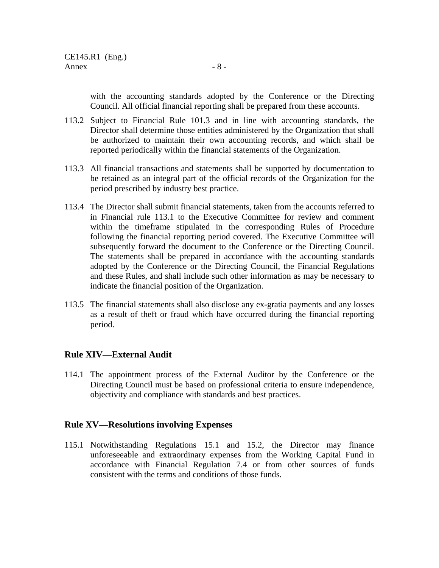with the accounting standards adopted by the Conference or the Directing Council. All official financial reporting shall be prepared from these accounts.

- 113.2 Subject to Financial Rule 101.3 and in line with accounting standards, the Director shall determine those entities administered by the Organization that shall be authorized to maintain their own accounting records, and which shall be reported periodically within the financial statements of the Organization.
- 113.3 All financial transactions and statements shall be supported by documentation to be retained as an integral part of the official records of the Organization for the period prescribed by industry best practice.
- 113.4 The Director shall submit financial statements, taken from the accounts referred to in Financial rule 113.1 to the Executive Committee for review and comment within the timeframe stipulated in the corresponding Rules of Procedure following the financial reporting period covered. The Executive Committee will subsequently forward the document to the Conference or the Directing Council. The statements shall be prepared in accordance with the accounting standards adopted by the Conference or the Directing Council, the Financial Regulations and these Rules, and shall include such other information as may be necessary to indicate the financial position of the Organization.
- 113.5 The financial statements shall also disclose any ex-gratia payments and any losses as a result of theft or fraud which have occurred during the financial reporting period.

# **Rule XIV—External Audit**

114.1 The appointment process of the External Auditor by the Conference or the Directing Council must be based on professional criteria to ensure independence, objectivity and compliance with standards and best practices.

# **Rule XV—Resolutions involving Expenses**

115.1 Notwithstanding Regulations 15.1 and 15.2, the Director may finance unforeseeable and extraordinary expenses from the Working Capital Fund in accordance with Financial Regulation 7.4 or from other sources of funds consistent with the terms and conditions of those funds.